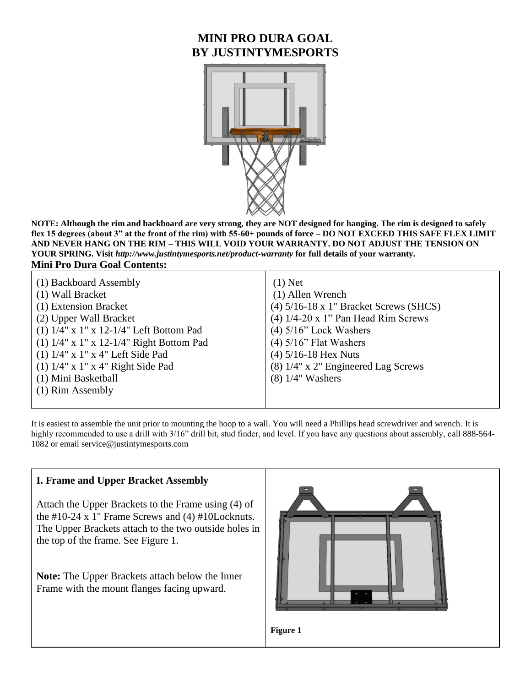# **MINI PRO DURA GOAL BY JUSTINTYMESPORTS**



**NOTE: Although the rim and backboard are very strong, they are NOT designed for hanging. The rim is designed to safely flex 15 degrees (about 3" at the front of the rim) with 55-60+ pounds of force – DO NOT EXCEED THIS SAFE FLEX LIMIT AND NEVER HANG ON THE RIM – THIS WILL VOID YOUR WARRANTY. DO NOT ADJUST THE TENSION ON YOUR SPRING. Visit** *http://www.justintymesports.net/product-warranty* **for full details of your warranty. Mini Pro Dura Goal Contents:**

| (1) Backboard Assembly                            | $(1)$ Net                                |
|---------------------------------------------------|------------------------------------------|
| (1) Wall Bracket                                  | (1) Allen Wrench                         |
| (1) Extension Bracket                             | $(4)$ 5/16-18 x 1" Bracket Screws (SHCS) |
| (2) Upper Wall Bracket                            | $(4)$ 1/4-20 x 1" Pan Head Rim Screws    |
| (1) $1/4$ " x $1$ " x $12-1/4$ " Left Bottom Pad  | $(4)$ 5/16" Lock Washers                 |
| (1) $1/4$ " x $1$ " x $12-1/4$ " Right Bottom Pad | $(4)$ 5/16" Flat Washers                 |
| $(1)$ 1/4" x 1" x 4" Left Side Pad                | $(4)$ 5/16-18 Hex Nuts                   |
| $(1)$ 1/4" x 1" x 4" Right Side Pad               | (8) 1/4" x 2" Engineered Lag Screws      |
| (1) Mini Basketball                               | $(8)$ 1/4" Washers                       |
| (1) Rim Assembly                                  |                                          |
|                                                   |                                          |

It is easiest to assemble the unit prior to mounting the hoop to a wall. You will need a Phillips head screwdriver and wrench. It is highly recommended to use a drill with 3/16" drill bit, stud finder, and level. If you have any questions about assembly, call 888-564-1082 or email service@justintymesports.com

#### **I. Frame and Upper Bracket Assembly**

Attach the Upper Brackets to the Frame using (4) of the #10-24 x 1" Frame Screws and (4) #10Locknuts. The Upper Brackets attach to the two outside holes in the top of the frame. See Figure 1.

**Note:** The Upper Brackets attach below the Inner Frame with the mount flanges facing upward.

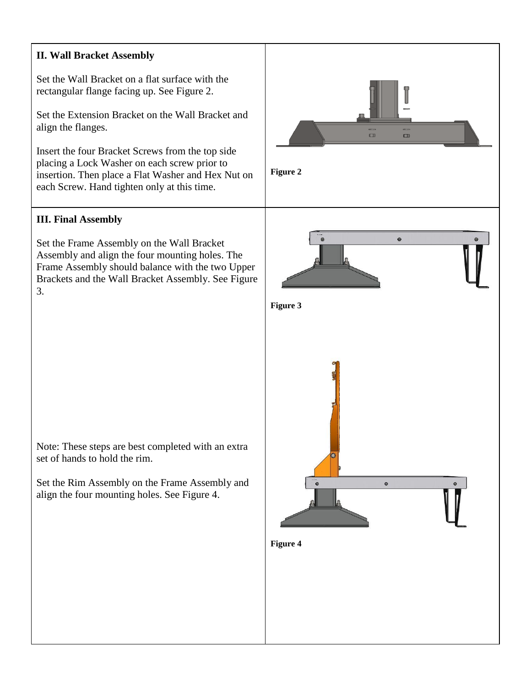# **II. Wall Bracket Assembly**

Set the Wall Bracket on a flat surface with the rectangular flange facing up. See Figure 2.

Set the Extension Bracket on the Wall Bracket and align the flanges.

Insert the four Bracket Screws from the top side placing a Lock Washer on each screw prior to insertion. Then place a Flat Washer and Hex Nut on each Screw. Hand tighten only at this time.

### **III. Final Assembly**

Set the Frame Assembly on the Wall Bracket Assembly and align the four mounting holes. The Frame Assembly should balance with the two Upper Brackets and the Wall Bracket Assembly. See Figure 3.



Note: These steps are best completed with an extra set of hands to hold the rim.

Set the Rim Assembly on the Frame Assembly and align the four mounting holes. See Figure 4.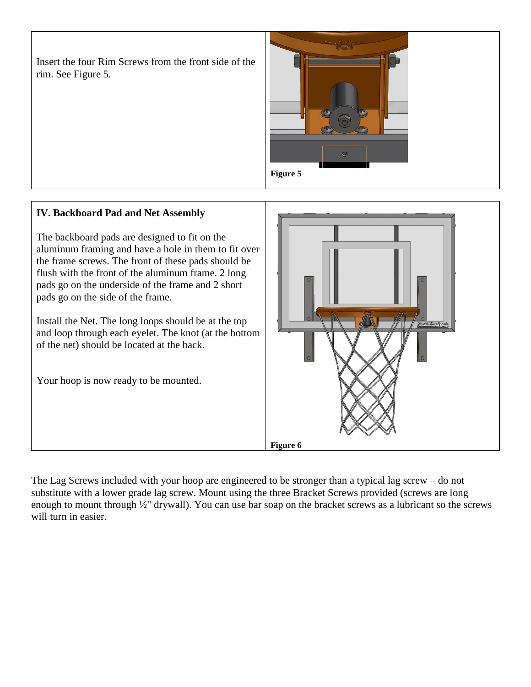Insert the four Rim Screws from the front side of the rim. See Figure 5.



# **IV. Backboard Pad and Net Assembly**

The backboard pads are designed to fit on the aluminum framing and have a hole in them to fit over the frame screws. The front of these pads should be flush with the front of the aluminum frame. 2 long pads go on the underside of the frame and 2 short pads go on the side of the frame.

Install the Net. The long loops should be at the top and loop through each eyelet. The knot (at the bottom of the net) should be located at the back.

Your hoop is now ready to be mounted.



The Lag Screws included with your hoop are engineered to be stronger than a typical lag screw – do not substitute with a lower grade lag screw. Mount using the three Bracket Screws provided (screws are long enough to mount through ½" drywall). You can use bar soap on the bracket screws as a lubricant so the screws will turn in easier.